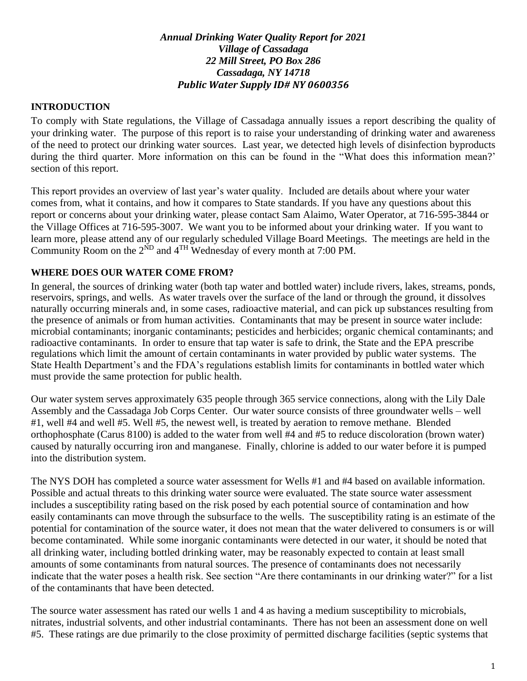#### *Annual Drinking Water Quality Report for 2021 Village of Cassadaga 22 Mill Street, PO Box 286 Cassadaga, NY 14718 Public Water Supply ID# NY 0600356*

#### **INTRODUCTION**

To comply with State regulations, the Village of Cassadaga annually issues a report describing the quality of your drinking water. The purpose of this report is to raise your understanding of drinking water and awareness of the need to protect our drinking water sources. Last year, we detected high levels of disinfection byproducts during the third quarter. More information on this can be found in the "What does this information mean?' section of this report.

This report provides an overview of last year's water quality. Included are details about where your water comes from, what it contains, and how it compares to State standards. If you have any questions about this report or concerns about your drinking water, please contact Sam Alaimo, Water Operator, at 716-595-3844 or the Village Offices at 716-595-3007. We want you to be informed about your drinking water. If you want to learn more, please attend any of our regularly scheduled Village Board Meetings. The meetings are held in the Community Room on the  $2^{ND}$  and  $4^{TH}$  Wednesday of every month at 7:00 PM.

#### **WHERE DOES OUR WATER COME FROM?**

In general, the sources of drinking water (both tap water and bottled water) include rivers, lakes, streams, ponds, reservoirs, springs, and wells. As water travels over the surface of the land or through the ground, it dissolves naturally occurring minerals and, in some cases, radioactive material, and can pick up substances resulting from the presence of animals or from human activities. Contaminants that may be present in source water include: microbial contaminants; inorganic contaminants; pesticides and herbicides; organic chemical contaminants; and radioactive contaminants. In order to ensure that tap water is safe to drink, the State and the EPA prescribe regulations which limit the amount of certain contaminants in water provided by public water systems. The State Health Department's and the FDA's regulations establish limits for contaminants in bottled water which must provide the same protection for public health.

Our water system serves approximately 635 people through 365 service connections, along with the Lily Dale Assembly and the Cassadaga Job Corps Center. Our water source consists of three groundwater wells – well #1, well #4 and well #5. Well #5, the newest well, is treated by aeration to remove methane. Blended orthophosphate (Carus 8100) is added to the water from well #4 and #5 to reduce discoloration (brown water) caused by naturally occurring iron and manganese. Finally, chlorine is added to our water before it is pumped into the distribution system.

The NYS DOH has completed a source water assessment for Wells #1 and #4 based on available information. Possible and actual threats to this drinking water source were evaluated. The state source water assessment includes a susceptibility rating based on the risk posed by each potential source of contamination and how easily contaminants can move through the subsurface to the wells. The susceptibility rating is an estimate of the potential for contamination of the source water, it does not mean that the water delivered to consumers is or will become contaminated. While some inorganic contaminants were detected in our water, it should be noted that all drinking water, including bottled drinking water, may be reasonably expected to contain at least small amounts of some contaminants from natural sources. The presence of contaminants does not necessarily indicate that the water poses a health risk. See section "Are there contaminants in our drinking water?" for a list of the contaminants that have been detected.

The source water assessment has rated our wells 1 and 4 as having a medium susceptibility to microbials, nitrates, industrial solvents, and other industrial contaminants. There has not been an assessment done on well #5. These ratings are due primarily to the close proximity of permitted discharge facilities (septic systems that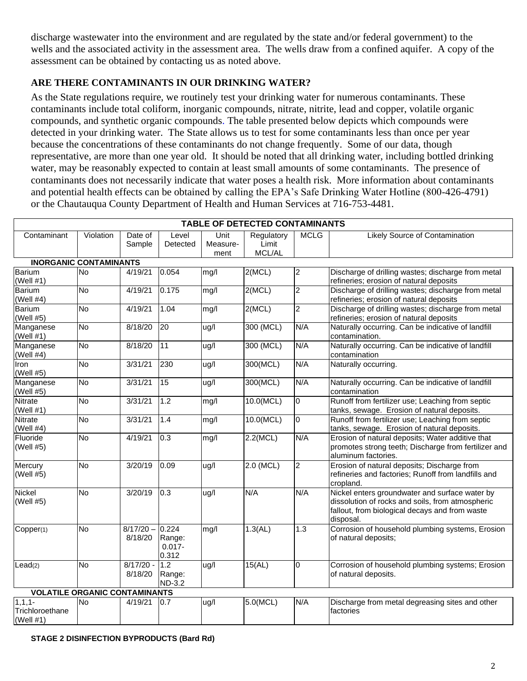discharge wastewater into the environment and are regulated by the state and/or federal government) to the wells and the associated activity in the assessment area. The wells draw from a confined aquifer. A copy of the assessment can be obtained by contacting us as noted above.

## **ARE THERE CONTAMINANTS IN OUR DRINKING WATER?**

As the State regulations require, we routinely test your drinking water for numerous contaminants. These contaminants include total coliform, inorganic compounds, nitrate, nitrite, lead and copper, volatile organic compounds, and synthetic organic compounds. The table presented below depicts which compounds were detected in your drinking water. The State allows us to test for some contaminants less than once per year because the concentrations of these contaminants do not change frequently. Some of our data, though representative, are more than one year old. It should be noted that all drinking water, including bottled drinking water, may be reasonably expected to contain at least small amounts of some contaminants. The presence of contaminants does not necessarily indicate that water poses a health risk. More information about contaminants and potential health effects can be obtained by calling the EPA's Safe Drinking Water Hotline (800-426-4791) or the Chautauqua County Department of Health and Human Services at 716-753-4481.

| TABLE OF DETECTED CONTAMINANTS                 |           |                        |                                             |                          |                               |                |                                                                                                                                                                   |  |  |  |  |
|------------------------------------------------|-----------|------------------------|---------------------------------------------|--------------------------|-------------------------------|----------------|-------------------------------------------------------------------------------------------------------------------------------------------------------------------|--|--|--|--|
| Contaminant                                    | Violation | Date of<br>Sample      | Level<br>Detected                           | Unit<br>Measure-<br>ment | Regulatory<br>Limit<br>MCL/AL | <b>MCLG</b>    | <b>Likely Source of Contamination</b>                                                                                                                             |  |  |  |  |
| <b>INORGANIC CONTAMINANTS</b>                  |           |                        |                                             |                          |                               |                |                                                                                                                                                                   |  |  |  |  |
| Barium<br>(Well $#1)$                          | <b>No</b> | 4/19/21                | 0.054                                       | mg/l                     | 2(MCL)                        | $\overline{c}$ | Discharge of drilling wastes; discharge from metal<br>refineries; erosion of natural deposits                                                                     |  |  |  |  |
| <b>Barium</b><br>(Well $#4$ )                  | <b>No</b> | 4/19/21                | 0.175                                       | mg/l                     | 2(MCL)                        | $\overline{2}$ | Discharge of drilling wastes; discharge from metal<br>refineries; erosion of natural deposits                                                                     |  |  |  |  |
| <b>Barium</b><br>(Well #5)                     | <b>No</b> | 4/19/21                | 1.04                                        | mg/l                     | 2(MCL)                        | $\overline{2}$ | Discharge of drilling wastes; discharge from metal<br>refineries; erosion of natural deposits                                                                     |  |  |  |  |
| Manganese<br>(Well $#1)$                       | <b>No</b> | 8/18/20                | 20                                          | ug/l                     | 300 (MCL)                     | N/A            | Naturally occurring. Can be indicative of landfill<br>contamination.                                                                                              |  |  |  |  |
| Manganese<br>(Well #4)                         | <b>No</b> | 8/18/20                | 11                                          | ug/l                     | 300 (MCL)                     | N/A            | Naturally occurring. Can be indicative of landfill<br>contamination                                                                                               |  |  |  |  |
| Iron<br>(Well #5)                              | No        | 3/31/21                | 230                                         | ug/l                     | 300(MCL)                      | N/A            | Naturally occurring.                                                                                                                                              |  |  |  |  |
| Manganese<br>(Well #5)                         | <b>No</b> | 3/31/21                | 15                                          | ug/l                     | 300(MCL)                      | N/A            | Naturally occurring. Can be indicative of landfill<br>contamination                                                                                               |  |  |  |  |
| <b>Nitrate</b><br>(Well $#1)$                  | <b>No</b> | 3/31/21                | 1.2                                         | mg/l                     | 10.0(MCL)                     | $\overline{0}$ | Runoff from fertilizer use; Leaching from septic<br>tanks, sewage. Erosion of natural deposits.                                                                   |  |  |  |  |
| Nitrate<br>(Well $#4$ )                        | <b>No</b> | 3/31/21                | 1.4                                         | mg/l                     | 10.0(MCL)                     | $\overline{0}$ | Runoff from fertilizer use; Leaching from septic<br>tanks, sewage. Erosion of natural deposits.                                                                   |  |  |  |  |
| Fluoride<br>(Well #5)                          | <b>No</b> | 4/19/21                | 0.3                                         | mg/l                     | 2.2(MCL)                      | N/A            | Erosion of natural deposits; Water additive that<br>promotes strong teeth; Discharge from fertilizer and<br>aluminum factories.                                   |  |  |  |  |
| Mercury<br>(Well #5)                           | <b>No</b> | 3/20/19                | 0.09                                        | ug/l                     | 2.0 (MCL)                     | $\overline{2}$ | Erosion of natural deposits; Discharge from<br>refineries and factories; Runoff from landfills and<br>cropland.                                                   |  |  |  |  |
| Nickel<br>(Well #5)                            | No        | 3/20/19                | 0.3                                         | ug/l                     | N/A                           | N/A            | Nickel enters groundwater and surface water by<br>dissolution of rocks and soils, from atmospheric<br>fallout, from biological decays and from waste<br>disposal. |  |  |  |  |
| Copper(1)                                      | <b>No</b> | $8/17/20 -$<br>8/18/20 | 0.224<br>Range:<br>$0.017 -$<br>0.312       | mq/1                     | 1.3(AL)                       | 1.3            | Corrosion of household plumbing systems, Erosion<br>of natural deposits;                                                                                          |  |  |  |  |
| Lead(2)                                        | <b>No</b> | $8/17/20 -$<br>8/18/20 | $\overline{1.2}$<br>Range:<br><b>ND-3.2</b> | ug/l                     | 15(AL)                        | $\overline{0}$ | Corrosion of household plumbing systems; Erosion<br>of natural deposits.                                                                                          |  |  |  |  |
| <b>VOLATILE ORGANIC CONTAMINANTS</b>           |           |                        |                                             |                          |                               |                |                                                                                                                                                                   |  |  |  |  |
| $1, 1, 1 -$<br>Trichloroethane<br>(Well $#1$ ) | <b>No</b> | 4/19/21                | 0.7                                         | ug/l                     | 5.0(MCL)                      | N/A            | Discharge from metal degreasing sites and other<br>factories                                                                                                      |  |  |  |  |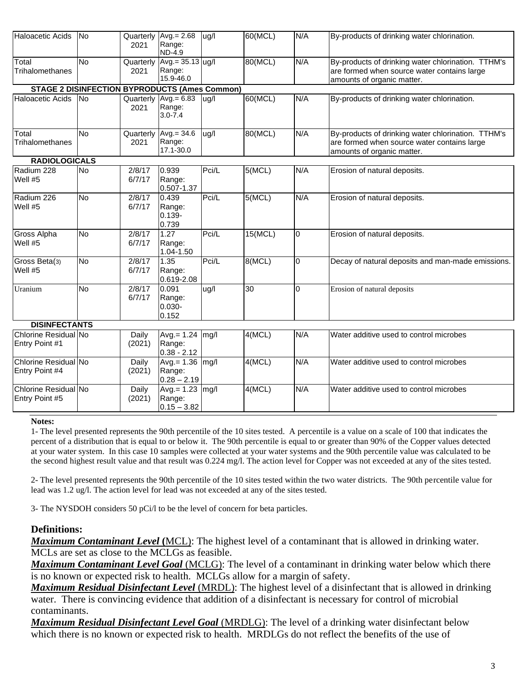| <b>Haloacetic Acids</b>                              | <b>No</b> | 2021              | Quarterly $Avg = 2.68$<br>Range:<br><b>ND-4.9</b>             | ug/l  | 60(MCL)         | N/A            | By-products of drinking water chlorination.                                                                                     |  |  |  |  |  |
|------------------------------------------------------|-----------|-------------------|---------------------------------------------------------------|-------|-----------------|----------------|---------------------------------------------------------------------------------------------------------------------------------|--|--|--|--|--|
| Total<br>Trihalomethanes                             | <b>No</b> | Quarterly<br>2021 | $Avg = 35.13$ ug/l<br>Range:<br>15.9-46.0                     |       | 80(MCL)         | N/A            | By-products of drinking water chlorination. TTHM's<br>are formed when source water contains large<br>amounts of organic matter. |  |  |  |  |  |
| <b>STAGE 2 DISINFECTION BYPRODUCTS (Ames Common)</b> |           |                   |                                                               |       |                 |                |                                                                                                                                 |  |  |  |  |  |
| <b>Haloacetic Acids</b>                              | No        | 2021              | Quarterly $\sqrt{\text{Avg} = 6.83}$<br>Range:<br>$3.0 - 7.4$ | ug/l  | 60(MCL)         | N/A            | By-products of drinking water chlorination.                                                                                     |  |  |  |  |  |
| Total<br><b>Trihalomethanes</b>                      | <b>No</b> | Quarterly<br>2021 | $Avg = 34.6$<br>Range:<br>17.1-30.0                           | ug/l  | 80(MCL)         | N/A            | By-products of drinking water chlorination. TTHM's<br>are formed when source water contains large<br>amounts of organic matter. |  |  |  |  |  |
| <b>RADIOLOGICALS</b>                                 |           |                   |                                                               |       |                 |                |                                                                                                                                 |  |  |  |  |  |
| Radium 228<br>Well #5                                | <b>No</b> | 2/8/17<br>6/7/17  | 0.939<br>Range:<br>$0.507 - 1.37$                             | Pci/L | 5(MCL)          | N/A            | Erosion of natural deposits.                                                                                                    |  |  |  |  |  |
| Radium 226<br>Well #5                                | <b>No</b> | 2/8/17<br>6/7/17  | 0.439<br>Range:<br>$0.139 -$<br>0.739                         | Pci/L | 5(MCL)          | N/A            | Erosion of natural deposits.                                                                                                    |  |  |  |  |  |
| Gross Alpha<br>Well #5                               | <b>No</b> | 2/8/17<br>6/7/17  | 1.27<br>Range:<br>$1.04 - 1.50$                               | Pci/L | 15(MCL)         | $\overline{0}$ | Erosion of natural deposits.                                                                                                    |  |  |  |  |  |
| Gross Beta(3)<br>Well #5                             | <b>No</b> | 2/8/17<br>6/7/17  | 1.35<br>Range:<br>$0.619 - 2.08$                              | Pci/L | 8(MCL)          | 0              | Decay of natural deposits and man-made emissions.                                                                               |  |  |  |  |  |
| Uranium                                              | Ю         | 2/8/17<br>6/7/17  | 0.091<br>Range:<br>$0.030 -$<br>0.152                         | ug/l  | $\overline{30}$ | $\Omega$       | Erosion of natural deposits                                                                                                     |  |  |  |  |  |
| <b>DISINFECTANTS</b>                                 |           |                   |                                                               |       |                 |                |                                                                                                                                 |  |  |  |  |  |
| <b>Chlorine Residual No</b><br>Entry Point #1        |           | Daily<br>(2021)   | $Avg = 1.24$<br>Range:<br>$0.38 - 2.12$                       | mg/l  | 4(MCL)          | N/A            | Water additive used to control microbes                                                                                         |  |  |  |  |  |
| Chlorine Residual No<br>Entry Point #4               |           | Daily<br>(2021)   | $Avg = 1.36$<br>Range:<br>$0.28 - 2.19$                       | mg/l  | 4(MCL)          | N/A            | Water additive used to control microbes                                                                                         |  |  |  |  |  |
| Chlorine Residual No<br>Entry Point #5               |           | Daily<br>(2021)   | Avg. $= 1.23$<br>Range:<br>$0.15 - 3.82$                      | mg/l  | 4(MCL)          | N/A            | Water additive used to control microbes                                                                                         |  |  |  |  |  |

#### **Notes:**

1- The level presented represents the 90th percentile of the 10 sites tested. A percentile is a value on a scale of 100 that indicates the percent of a distribution that is equal to or below it. The 90th percentile is equal to or greater than 90% of the Copper values detected at your water system. In this case 10 samples were collected at your water systems and the 90th percentile value was calculated to be the second highest result value and that result was 0.224 mg/l. The action level for Copper was not exceeded at any of the sites tested.

2- The level presented represents the 90th percentile of the 10 sites tested within the two water districts. The 90th percentile value for lead was 1.2 ug/l. The action level for lead was not exceeded at any of the sites tested.

3- The NYSDOH considers 50 pCi/l to be the level of concern for beta particles.

#### **Definitions:**

*Maximum Contaminant Level* **(**MCL): The highest level of a contaminant that is allowed in drinking water. MCLs are set as close to the MCLGs as feasible.

*Maximum Contaminant Level Goal* (MCLG): The level of a contaminant in drinking water below which there is no known or expected risk to health. MCLGs allow for a margin of safety.

*Maximum Residual Disinfectant Level* (MRDL): The highest level of a disinfectant that is allowed in drinking water. There is convincing evidence that addition of a disinfectant is necessary for control of microbial contaminants.

*Maximum Residual Disinfectant Level Goal* (MRDLG): The level of a drinking water disinfectant below which there is no known or expected risk to health. MRDLGs do not reflect the benefits of the use of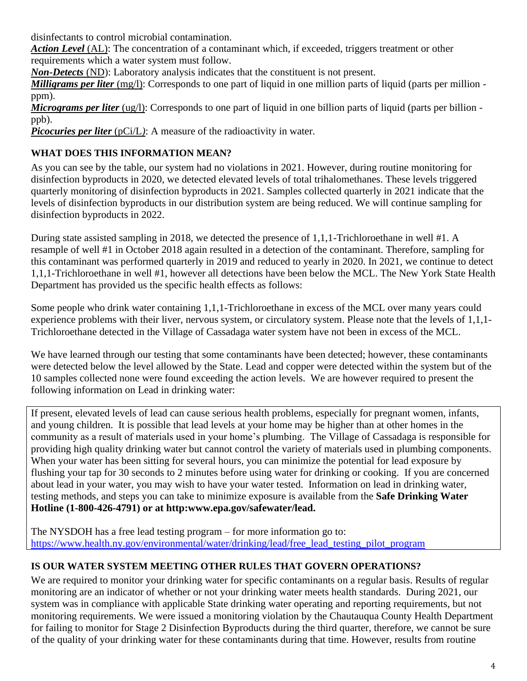disinfectants to control microbial contamination.

*Action Level* (AL): The concentration of a contaminant which, if exceeded, triggers treatment or other requirements which a water system must follow.

*Non-Detects* (ND): Laboratory analysis indicates that the constituent is not present.

*Milligrams per liter* (mg/l): Corresponds to one part of liquid in one million parts of liquid (parts per million ppm).

*Micrograms per liter* (ug/l): Corresponds to one part of liquid in one billion parts of liquid (parts per billion ppb).

*Picocuries per liter*  $(pCi/L)$ : A measure of the radioactivity in water.

# **WHAT DOES THIS INFORMATION MEAN?**

As you can see by the table, our system had no violations in 2021. However, during routine monitoring for disinfection byproducts in 2020, we detected elevated levels of total trihalomethanes. These levels triggered quarterly monitoring of disinfection byproducts in 2021. Samples collected quarterly in 2021 indicate that the levels of disinfection byproducts in our distribution system are being reduced. We will continue sampling for disinfection byproducts in 2022.

During state assisted sampling in 2018, we detected the presence of 1,1,1-Trichloroethane in well #1. A resample of well #1 in October 2018 again resulted in a detection of the contaminant. Therefore, sampling for this contaminant was performed quarterly in 2019 and reduced to yearly in 2020. In 2021, we continue to detect 1,1,1-Trichloroethane in well #1, however all detections have been below the MCL. The New York State Health Department has provided us the specific health effects as follows:

Some people who drink water containing 1,1,1-Trichloroethane in excess of the MCL over many years could experience problems with their liver, nervous system, or circulatory system. Please note that the levels of 1,1,1- Trichloroethane detected in the Village of Cassadaga water system have not been in excess of the MCL.

We have learned through our testing that some contaminants have been detected; however, these contaminants were detected below the level allowed by the State. Lead and copper were detected within the system but of the 10 samples collected none were found exceeding the action levels. We are however required to present the following information on Lead in drinking water:

If present, elevated levels of lead can cause serious health problems, especially for pregnant women, infants, and young children. It is possible that lead levels at your home may be higher than at other homes in the community as a result of materials used in your home's plumbing. The Village of Cassadaga is responsible for providing high quality drinking water but cannot control the variety of materials used in plumbing components. When your water has been sitting for several hours, you can minimize the potential for lead exposure by flushing your tap for 30 seconds to 2 minutes before using water for drinking or cooking. If you are concerned about lead in your water, you may wish to have your water tested. Information on lead in drinking water, testing methods, and steps you can take to minimize exposure is available from the **Safe Drinking Water Hotline (1-800-426-4791) or at http:www.epa.gov/safewater/lead.**

The NYSDOH has a free lead testing program – for more information go to: [https://www.health.ny.gov/environmental/water/drinking/lead/free\\_lead\\_testing\\_pilot\\_program](https://www.health.ny.gov/environmental/water/drinking/lead/free_lead_testing_pilot_program)

## **IS OUR WATER SYSTEM MEETING OTHER RULES THAT GOVERN OPERATIONS?**

We are required to monitor your drinking water for specific contaminants on a regular basis. Results of regular monitoring are an indicator of whether or not your drinking water meets health standards. During 2021, our system was in compliance with applicable State drinking water operating and reporting requirements, but not monitoring requirements. We were issued a monitoring violation by the Chautauqua County Health Department for failing to monitor for Stage 2 Disinfection Byproducts during the third quarter, therefore, we cannot be sure of the quality of your drinking water for these contaminants during that time. However, results from routine